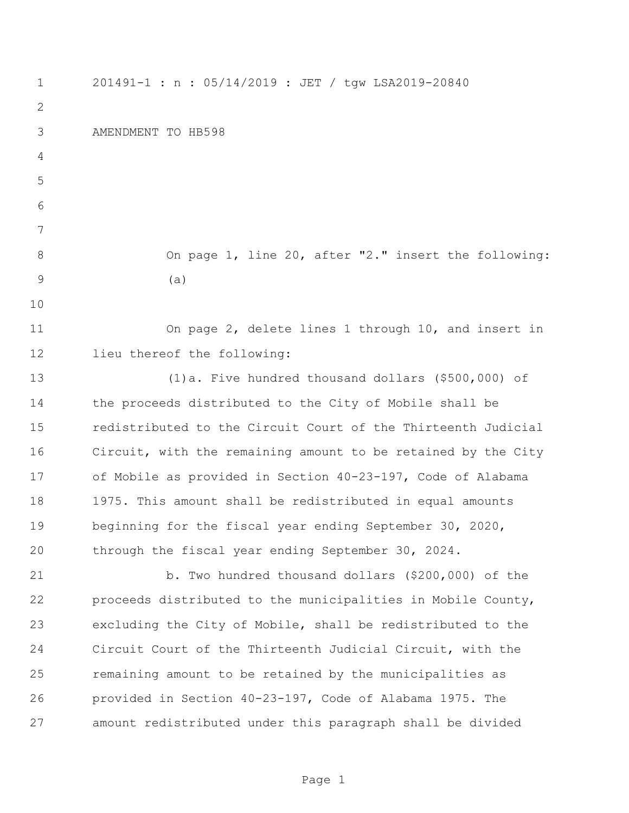201491-1 : n : 05/14/2019 : JET / tgw LSA2019-20840 AMENDMENT TO HB598 8 On page 1, line 20, after "2." insert the following: (a) On page 2, delete lines 1 through 10, and insert in lieu thereof the following: (1)a. Five hundred thousand dollars (\$500,000) of the proceeds distributed to the City of Mobile shall be redistributed to the Circuit Court of the Thirteenth Judicial Circuit, with the remaining amount to be retained by the City of Mobile as provided in Section 40-23-197, Code of Alabama 1975. This amount shall be redistributed in equal amounts beginning for the fiscal year ending September 30, 2020, through the fiscal year ending September 30, 2024. b. Two hundred thousand dollars (\$200,000) of the proceeds distributed to the municipalities in Mobile County, excluding the City of Mobile, shall be redistributed to the Circuit Court of the Thirteenth Judicial Circuit, with the remaining amount to be retained by the municipalities as provided in Section 40-23-197, Code of Alabama 1975. The amount redistributed under this paragraph shall be divided